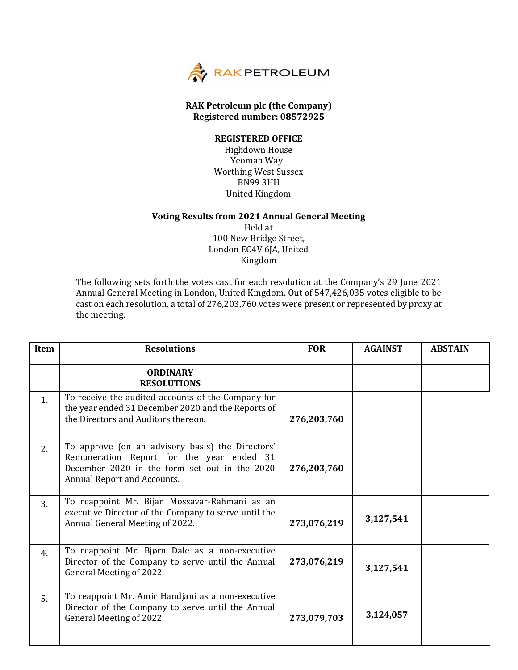

## **RAK Petroleum plc (the Company) Registered number: 08572925**

## **REGISTERED OFFICE**

Highdown House Yeoman Way Worthing West Sussex BN99 3HH United Kingdom

## **Voting Results from 2021 Annual General Meeting**

Held at 100 New Bridge Street, London EC4V 6JA, United Kingdom

The following sets forth the votes cast for each resolution at the Company's 29 June 2021 Annual General Meeting in London, United Kingdom. Out of 547,426,035 votes eligible to be cast on each resolution, a total of 276,203,760 votes were present or represented by proxy at the meeting.

| <b>Item</b> | <b>Resolutions</b>                                                                                                                                                            | <b>FOR</b>  | <b>AGAINST</b> | <b>ABSTAIN</b> |
|-------------|-------------------------------------------------------------------------------------------------------------------------------------------------------------------------------|-------------|----------------|----------------|
|             | <b>ORDINARY</b><br><b>RESOLUTIONS</b>                                                                                                                                         |             |                |                |
| 1.          | To receive the audited accounts of the Company for<br>the year ended 31 December 2020 and the Reports of<br>the Directors and Auditors thereon.                               | 276,203,760 |                |                |
| 2.          | To approve (on an advisory basis) the Directors'<br>Remuneration Report for the year ended 31<br>December 2020 in the form set out in the 2020<br>Annual Report and Accounts. | 276,203,760 |                |                |
| 3.          | To reappoint Mr. Bijan Mossavar-Rahmani as an<br>executive Director of the Company to serve until the<br>Annual General Meeting of 2022.                                      | 273,076,219 | 3,127,541      |                |
| 4.          | To reappoint Mr. Bjørn Dale as a non-executive<br>Director of the Company to serve until the Annual<br>General Meeting of 2022.                                               | 273,076,219 | 3,127,541      |                |
| 5.          | To reappoint Mr. Amir Handjani as a non-executive<br>Director of the Company to serve until the Annual<br>General Meeting of 2022.                                            | 273,079,703 | 3,124,057      |                |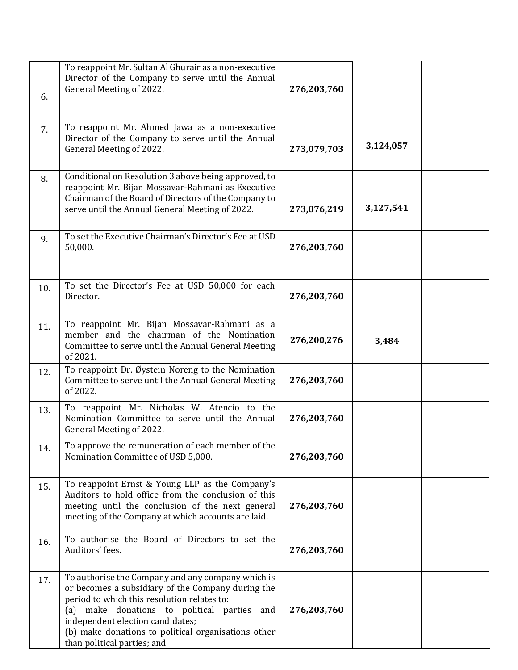| 6.  | To reappoint Mr. Sultan Al Ghurair as a non-executive<br>Director of the Company to serve until the Annual<br>General Meeting of 2022.                                                                                                                                                                                         | 276,203,760 |           |  |
|-----|--------------------------------------------------------------------------------------------------------------------------------------------------------------------------------------------------------------------------------------------------------------------------------------------------------------------------------|-------------|-----------|--|
| 7.  | To reappoint Mr. Ahmed Jawa as a non-executive<br>Director of the Company to serve until the Annual<br>General Meeting of 2022.                                                                                                                                                                                                | 273,079,703 | 3,124,057 |  |
| 8.  | Conditional on Resolution 3 above being approved, to<br>reappoint Mr. Bijan Mossavar-Rahmani as Executive<br>Chairman of the Board of Directors of the Company to<br>serve until the Annual General Meeting of 2022.                                                                                                           | 273,076,219 | 3,127,541 |  |
| 9.  | To set the Executive Chairman's Director's Fee at USD<br>50,000.                                                                                                                                                                                                                                                               | 276,203,760 |           |  |
| 10. | To set the Director's Fee at USD 50,000 for each<br>Director.                                                                                                                                                                                                                                                                  | 276,203,760 |           |  |
| 11. | To reappoint Mr. Bijan Mossavar-Rahmani as a<br>member and the chairman of the Nomination<br>Committee to serve until the Annual General Meeting<br>of 2021.                                                                                                                                                                   | 276,200,276 | 3,484     |  |
| 12. | To reappoint Dr. Øystein Noreng to the Nomination<br>Committee to serve until the Annual General Meeting<br>of 2022.                                                                                                                                                                                                           | 276,203,760 |           |  |
| 13. | To reappoint Mr. Nicholas W. Atencio to the<br>Nomination Committee to serve until the Annual<br>General Meeting of 2022.                                                                                                                                                                                                      | 276,203,760 |           |  |
| 14. | To approve the remuneration of each member of the<br>Nomination Committee of USD 5,000.                                                                                                                                                                                                                                        | 276,203,760 |           |  |
| 15. | To reappoint Ernst & Young LLP as the Company's<br>Auditors to hold office from the conclusion of this<br>meeting until the conclusion of the next general<br>meeting of the Company at which accounts are laid.                                                                                                               | 276,203,760 |           |  |
| 16. | To authorise the Board of Directors to set the<br>Auditors' fees.                                                                                                                                                                                                                                                              | 276,203,760 |           |  |
| 17. | To authorise the Company and any company which is<br>or becomes a subsidiary of the Company during the<br>period to which this resolution relates to:<br>(a) make donations to political parties and<br>independent election candidates;<br>(b) make donations to political organisations other<br>than political parties; and | 276,203,760 |           |  |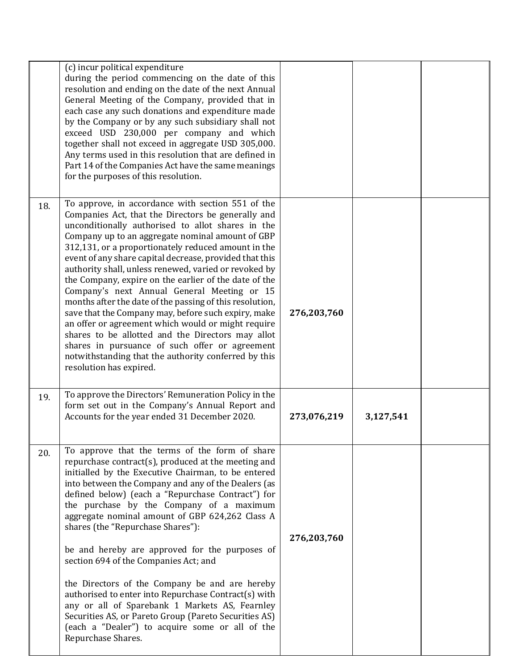|     | (c) incur political expenditure<br>during the period commencing on the date of this<br>resolution and ending on the date of the next Annual<br>General Meeting of the Company, provided that in<br>each case any such donations and expenditure made<br>by the Company or by any such subsidiary shall not<br>exceed USD 230,000 per company and which<br>together shall not exceed in aggregate USD 305,000.<br>Any terms used in this resolution that are defined in<br>Part 14 of the Companies Act have the same meanings<br>for the purposes of this resolution.                                                                                                                                                                                                                                                                                                  |             |           |  |
|-----|------------------------------------------------------------------------------------------------------------------------------------------------------------------------------------------------------------------------------------------------------------------------------------------------------------------------------------------------------------------------------------------------------------------------------------------------------------------------------------------------------------------------------------------------------------------------------------------------------------------------------------------------------------------------------------------------------------------------------------------------------------------------------------------------------------------------------------------------------------------------|-------------|-----------|--|
| 18. | To approve, in accordance with section 551 of the<br>Companies Act, that the Directors be generally and<br>unconditionally authorised to allot shares in the<br>Company up to an aggregate nominal amount of GBP<br>312,131, or a proportionately reduced amount in the<br>event of any share capital decrease, provided that this<br>authority shall, unless renewed, varied or revoked by<br>the Company, expire on the earlier of the date of the<br>Company's next Annual General Meeting or 15<br>months after the date of the passing of this resolution,<br>save that the Company may, before such expiry, make<br>an offer or agreement which would or might require<br>shares to be allotted and the Directors may allot<br>shares in pursuance of such offer or agreement<br>notwithstanding that the authority conferred by this<br>resolution has expired. | 276,203,760 |           |  |
| 19. | To approve the Directors' Remuneration Policy in the<br>form set out in the Company's Annual Report and<br>Accounts for the year ended 31 December 2020.                                                                                                                                                                                                                                                                                                                                                                                                                                                                                                                                                                                                                                                                                                               | 273,076,219 | 3,127,541 |  |
| 20. | To approve that the terms of the form of share<br>repurchase contract(s), produced at the meeting and<br>initialled by the Executive Chairman, to be entered<br>into between the Company and any of the Dealers (as<br>defined below) (each a "Repurchase Contract") for<br>the purchase by the Company of a maximum<br>aggregate nominal amount of GBP 624,262 Class A<br>shares (the "Repurchase Shares"):<br>be and hereby are approved for the purposes of<br>section 694 of the Companies Act; and<br>the Directors of the Company be and are hereby<br>authorised to enter into Repurchase Contract(s) with<br>any or all of Sparebank 1 Markets AS, Fearnley<br>Securities AS, or Pareto Group (Pareto Securities AS)<br>(each a "Dealer") to acquire some or all of the<br>Repurchase Shares.                                                                  | 276,203,760 |           |  |